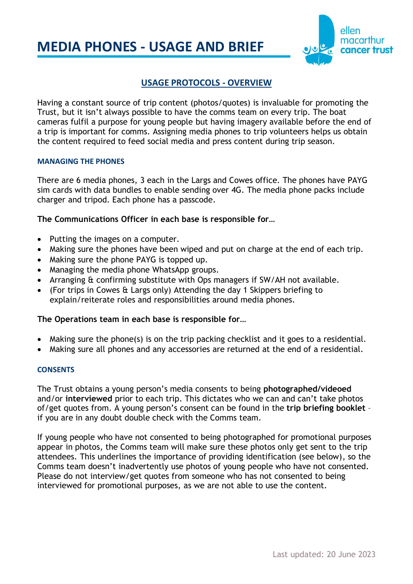# **MEDIA PHONES - USAGE AND BRIEF**



# **USAGE PROTOCOLS - OVERVIEW**

Having a constant source of trip content (photos/quotes) is invaluable for promoting the Trust, but it isn't always possible to have the comms team on every trip. The boat cameras fulfil a purpose for young people but having imagery available before the end of a trip is important for comms. Assigning media phones to trip volunteers helps us obtain the content required to feed social media and press content during trip season.

#### **MANAGING THE PHONES**

There are 6 media phones, 3 each in the Largs and Cowes office. The phones have PAYG sim cards with data bundles to enable sending over 4G. The media phone packs include charger and tripod. Each phone has a passcode.

#### **The Communications Officer in each base is responsible for…**

- Putting the images on a computer.
- Making sure the phones have been wiped and put on charge at the end of each trip.
- Making sure the phone PAYG is topped up.
- Managing the media phone WhatsApp groups.
- Arranging & confirming substitute with Ops managers if SW/AH not available.
- (For trips in Cowes & Largs only) Attending the day 1 Skippers briefing to explain/reiterate roles and responsibilities around media phones.

#### **The Operations team in each base is responsible for…**

- Making sure the phone(s) is on the trip packing checklist and it goes to a residential.
- Making sure all phones and any accessories are returned at the end of a residential.

#### **CONSENTS**

The Trust obtains a young person's media consents to being **photographed/videoed** and/or **interviewed** prior to each trip. This dictates who we can and can't take photos of/get quotes from. A young person's consent can be found in the **trip briefing booklet** – if you are in any doubt double check with the Comms team.

If young people who have not consented to being photographed for promotional purposes appear in photos, the Comms team will make sure these photos only get sent to the trip attendees. This underlines the importance of providing identification (see below), so the Comms team doesn't inadvertently use photos of young people who have not consented. Please do not interview/get quotes from someone who has not consented to being interviewed for promotional purposes, as we are not able to use the content.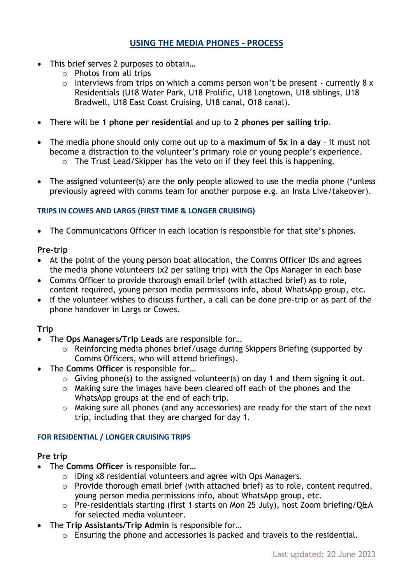# **USING THE MEDIA PHONES - PROCESS**

- This brief serves 2 purposes to obtain…
	- o Photos from all trips
	- $\circ$  Interviews from trips on which a comms person won't be present currently 8 x Residentials (U18 Water Park, U18 Prolific, U18 Longtown, U18 siblings, U18 Bradwell, U18 East Coast Cruising, U18 canal, O18 canal).
- There will be **1 phone per residential** and up to **2 phones per sailing trip**.
- The media phone should only come out up to a **maximum of 5x in a day** it must not become a distraction to the volunteer's primary role or young people's experience.
	- o The Trust Lead/Skipper has the veto on if they feel this is happening.
- The assigned volunteer(s) are the **only** people allowed to use the media phone (\*unless previously agreed with comms team for another purpose e.g. an Insta Live/takeover).

#### **TRIPS IN COWES AND LARGS (FIRST TIME & LONGER CRUISING)**

• The Communications Officer in each location is responsible for that site's phones.

## **Pre-trip**

- At the point of the young person boat allocation, the Comms Officer IDs and agrees the media phone volunteers (x2 per sailing trip) with the Ops Manager in each base
- Comms Officer to provide thorough email brief (with attached brief) as to role, content required, young person media permissions info, about WhatsApp group, etc.
- If the volunteer wishes to discuss further, a call can be done pre-trip or as part of the phone handover in Largs or Cowes.

# **Trip**

- The **Ops Managers/Trip Leads** are responsible for…
	- o Reinforcing media phones brief/usage during Skippers Briefing (supported by Comms Officers, who will attend briefings).
- The **Comms Officer** is responsible for…
	- $\circ$  Giving phone(s) to the assigned volunteer(s) on day 1 and them signing it out.
	- o Making sure the images have been cleared off each of the phones and the WhatsApp groups at the end of each trip.
	- o Making sure all phones (and any accessories) are ready for the start of the next trip, including that they are charged for day 1.

#### **FOR RESIDENTIAL / LONGER CRUISING TRIPS**

#### **Pre trip**

- The **Comms Officer** is responsible for…
	- o IDing x8 residential volunteers and agree with Ops Managers.
	- o Provide thorough email brief (with attached brief) as to role, content required, young person media permissions info, about WhatsApp group, etc.
	- o Pre-residentials starting (first 1 starts on Mon 25 July), host Zoom briefing/Q&A for selected media volunteer.
- The **Trip Assistants/Trip Admin** is responsible for…
	- o Ensuring the phone and accessories is packed and travels to the residential.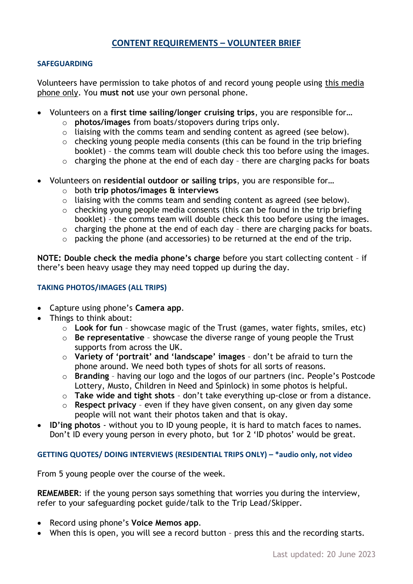# **CONTENT REQUIREMENTS – VOLUNTEER BRIEF**

#### **SAFEGUARDING**

Volunteers have permission to take photos of and record young people using this media phone only. You **must not** use your own personal phone.

- Volunteers on a **first time sailing/longer cruising trips**, you are responsible for…
	- o **photos/images** from boats/stopovers during trips only.
	- o liaising with the comms team and sending content as agreed (see below).
	- $\circ$  checking young people media consents (this can be found in the trip briefing booklet) – the comms team will double check this too before using the images.
	- $\circ$  charging the phone at the end of each day there are charging packs for boats
- Volunteers on **residential outdoor or sailing trips**, you are responsible for…
	- o both **trip photos/images & interviews**
	- $\circ$  liaising with the comms team and sending content as agreed (see below).
	- $\circ$  checking young people media consents (this can be found in the trip briefing booklet) – the comms team will double check this too before using the images.
	- o charging the phone at the end of each day there are charging packs for boats.
	- o packing the phone (and accessories) to be returned at the end of the trip.

**NOTE: Double check the media phone's charge** before you start collecting content – if there's been heavy usage they may need topped up during the day.

## **TAKING PHOTOS/IMAGES (ALL TRIPS)**

- Capture using phone's **Camera app**.
- Things to think about:
	- o **Look for fun** showcase magic of the Trust (games, water fights, smiles, etc)
	- o **Be representative** showcase the diverse range of young people the Trust supports from across the UK.
	- o **Variety of 'portrait' and 'landscape' images** don't be afraid to turn the phone around. We need both types of shots for all sorts of reasons.
	- o **Branding**  having our logo and the logos of our partners (inc. People's Postcode Lottery, Musto, Children in Need and Spinlock) in some photos is helpful.
	- o **Take wide and tight shots** don't take everything up-close or from a distance.
	- o **Respect privacy**  even if they have given consent, on any given day some people will not want their photos taken and that is okay.
- **ID'ing photos** without you to ID young people, it is hard to match faces to names. Don't ID every young person in every photo, but 1or 2 'ID photos' would be great.

#### **GETTING QUOTES/ DOING INTERVIEWS (RESIDENTIAL TRIPS ONLY) – \*audio only, not video**

From 5 young people over the course of the week.

**REMEMBER**: if the young person says something that worries you during the interview, refer to your safeguarding pocket guide/talk to the Trip Lead/Skipper.

- Record using phone's **Voice Memos app**.
- When this is open, you will see a record button press this and the recording starts.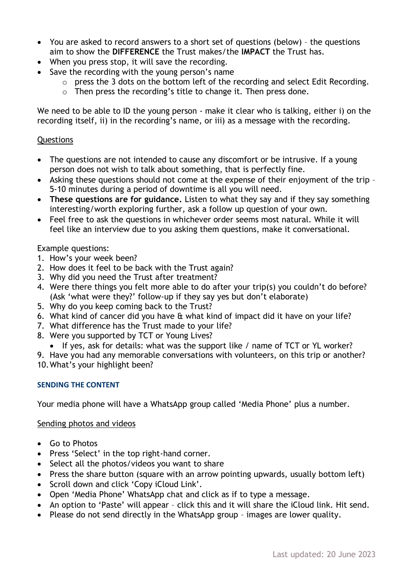- You are asked to record answers to a short set of questions (below) the questions aim to show the **DIFFERENCE** the Trust makes/the **IMPACT** the Trust has.
- When you press stop, it will save the recording.
- Save the recording with the young person's name
	- o press the 3 dots on the bottom left of the recording and select Edit Recording.
	- o Then press the recording's title to change it. Then press done.

We need to be able to ID the young person - make it clear who is talking, either i) on the recording itself, ii) in the recording's name, or iii) as a message with the recording.

# **Questions**

- The questions are not intended to cause any discomfort or be intrusive. If a young person does not wish to talk about something, that is perfectly fine.
- Asking these questions should not come at the expense of their enjoyment of the trip 5-10 minutes during a period of downtime is all you will need.
- **These questions are for guidance.** Listen to what they say and if they say something interesting/worth exploring further, ask a follow up question of your own.
- Feel free to ask the questions in whichever order seems most natural. While it will feel like an interview due to you asking them questions, make it conversational.

## Example questions:

- 1. How's your week been?
- 2. How does it feel to be back with the Trust again?
- 3. Why did you need the Trust after treatment?
- 4. Were there things you felt more able to do after your trip(s) you couldn't do before? (Ask 'what were they?' follow-up if they say yes but don't elaborate)
- 5. Why do you keep coming back to the Trust?
- 6. What kind of cancer did you have & what kind of impact did it have on your life?
- 7. What difference has the Trust made to your life?
- 8. Were you supported by TCT or Young Lives?
	- If yes, ask for details: what was the support like / name of TCT or YL worker?

9. Have you had any memorable conversations with volunteers, on this trip or another? 10.What's your highlight been?

#### **SENDING THE CONTENT**

Your media phone will have a WhatsApp group called 'Media Phone' plus a number.

# Sending photos and videos

- Go to Photos
- Press 'Select' in the top right-hand corner.
- Select all the photos/videos you want to share
- Press the share button (square with an arrow pointing upwards, usually bottom left)
- Scroll down and click 'Copy iCloud Link'.
- Open 'Media Phone' WhatsApp chat and click as if to type a message.
- An option to 'Paste' will appear click this and it will share the iCloud link. Hit send.
- Please do not send directly in the WhatsApp group images are lower quality.